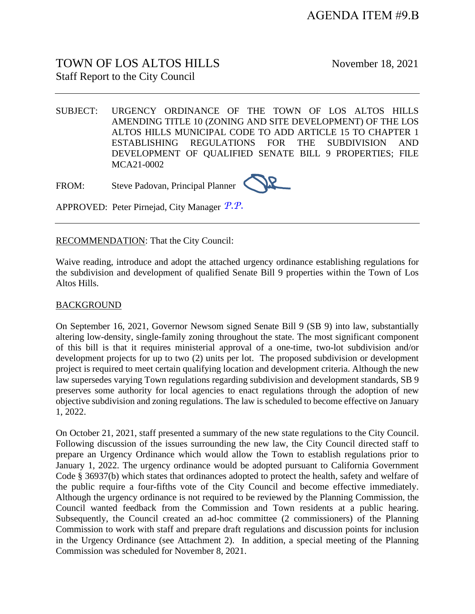# TOWN OF LOS ALTOS HILLS November 18, 2021 Staff Report to the City Council

SUBJECT: URGENCY ORDINANCE OF THE TOWN OF LOS ALTOS HILLS AMENDING TITLE 10 (ZONING AND SITE DEVELOPMENT) OF THE LOS ALTOS HILLS MUNICIPAL CODE TO ADD ARTICLE 15 TO CHAPTER 1 ESTABLISHING REGULATIONS FOR THE SUBDIVISION AND DEVELOPMENT OF QUALIFIED SENATE BILL 9 PROPERTIES; FILE MCA21-0002

FROM: Steve Padovan, Principal Planner



APPROVED: Peter Pirnejad, City Manager *P.P.*

RECOMMENDATION: That the City Council:

Waive reading, introduce and adopt the attached urgency ordinance establishing regulations for the subdivision and development of qualified Senate Bill 9 properties within the Town of Los Altos Hills.

### BACKGROUND

On September 16, 2021, Governor Newsom signed Senate Bill 9 (SB 9) into law, substantially altering low-density, single-family zoning throughout the state. The most significant component of this bill is that it requires ministerial approval of a one-time, two-lot subdivision and/or development projects for up to two (2) units per lot. The proposed subdivision or development project is required to meet certain qualifying location and development criteria. Although the new law supersedes varying Town regulations regarding subdivision and development standards, SB 9 preserves some authority for local agencies to enact regulations through the adoption of new objective subdivision and zoning regulations. The law is scheduled to become effective on January 1, 2022.

On October 21, 2021, staff presented a summary of the new state regulations to the City Council. Following discussion of the issues surrounding the new law, the City Council directed staff to prepare an Urgency Ordinance which would allow the Town to establish regulations prior to January 1, 2022. The urgency ordinance would be adopted pursuant to California Government Code § 36937(b) which states that ordinances adopted to protect the health, safety and welfare of the public require a four-fifths vote of the City Council and become effective immediately. Although the urgency ordinance is not required to be reviewed by the Planning Commission, the Council wanted feedback from the Commission and Town residents at a public hearing. Subsequently, the Council created an ad-hoc committee (2 commissioners) of the Planning Commission to work with staff and prepare draft regulations and discussion points for inclusion in the Urgency Ordinance (see Attachment 2). In addition, a special meeting of the Planning Commission was scheduled for November 8, 2021.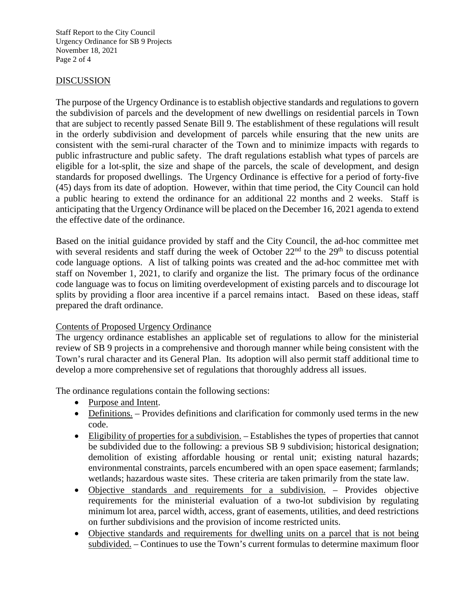Staff Report to the City Council Urgency Ordinance for SB 9 Projects November 18, 2021 Page 2 of 4

### DISCUSSION

The purpose of the Urgency Ordinance is to establish objective standards and regulations to govern the subdivision of parcels and the development of new dwellings on residential parcels in Town that are subject to recently passed Senate Bill 9. The establishment of these regulations will result in the orderly subdivision and development of parcels while ensuring that the new units are consistent with the semi-rural character of the Town and to minimize impacts with regards to public infrastructure and public safety. The draft regulations establish what types of parcels are eligible for a lot-split, the size and shape of the parcels, the scale of development, and design standards for proposed dwellings. The Urgency Ordinance is effective for a period of forty-five (45) days from its date of adoption. However, within that time period, the City Council can hold a public hearing to extend the ordinance for an additional 22 months and 2 weeks. Staff is anticipating that the Urgency Ordinance will be placed on the December 16, 2021 agenda to extend the effective date of the ordinance.

Based on the initial guidance provided by staff and the City Council, the ad-hoc committee met with several residents and staff during the week of October 22<sup>nd</sup> to the 29<sup>th</sup> to discuss potential code language options. A list of talking points was created and the ad-hoc committee met with staff on November 1, 2021, to clarify and organize the list. The primary focus of the ordinance code language was to focus on limiting overdevelopment of existing parcels and to discourage lot splits by providing a floor area incentive if a parcel remains intact. Based on these ideas, staff prepared the draft ordinance.

### Contents of Proposed Urgency Ordinance

The urgency ordinance establishes an applicable set of regulations to allow for the ministerial review of SB 9 projects in a comprehensive and thorough manner while being consistent with the Town's rural character and its General Plan. Its adoption will also permit staff additional time to develop a more comprehensive set of regulations that thoroughly address all issues.

The ordinance regulations contain the following sections:

- Purpose and Intent.
- Definitions. Provides definitions and clarification for commonly used terms in the new code.
- Eligibility of properties for a subdivision. Establishes the types of properties that cannot be subdivided due to the following: a previous SB 9 subdivision; historical designation; demolition of existing affordable housing or rental unit; existing natural hazards; environmental constraints, parcels encumbered with an open space easement; farmlands; wetlands; hazardous waste sites. These criteria are taken primarily from the state law.
- Objective standards and requirements for a subdivision. Provides objective requirements for the ministerial evaluation of a two-lot subdivision by regulating minimum lot area, parcel width, access, grant of easements, utilities, and deed restrictions on further subdivisions and the provision of income restricted units.
- Objective standards and requirements for dwelling units on a parcel that is not being subdivided. – Continues to use the Town's current formulas to determine maximum floor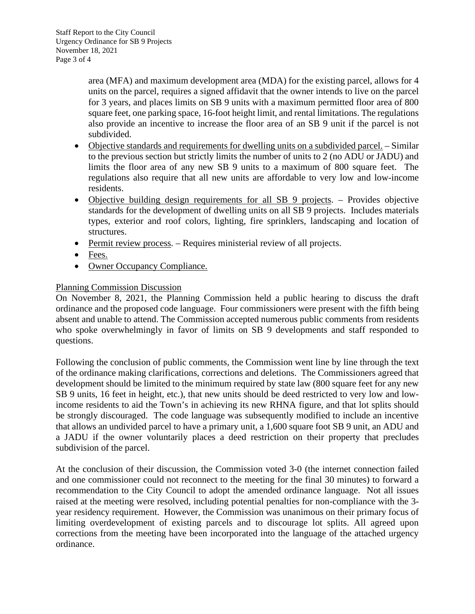area (MFA) and maximum development area (MDA) for the existing parcel, allows for 4 units on the parcel, requires a signed affidavit that the owner intends to live on the parcel for 3 years, and places limits on SB 9 units with a maximum permitted floor area of 800 square feet, one parking space, 16-foot height limit, and rental limitations. The regulations also provide an incentive to increase the floor area of an SB 9 unit if the parcel is not subdivided.

- Objective standards and requirements for dwelling units on a subdivided parcel. Similar to the previous section but strictly limits the number of units to 2 (no ADU or JADU) and limits the floor area of any new SB 9 units to a maximum of 800 square feet. The regulations also require that all new units are affordable to very low and low-income residents.
- Objective building design requirements for all SB 9 projects. Provides objective standards for the development of dwelling units on all SB 9 projects. Includes materials types, exterior and roof colors, lighting, fire sprinklers, landscaping and location of structures.
- Permit review process. Requires ministerial review of all projects.
- Fees.
- Owner Occupancy Compliance.

# Planning Commission Discussion

On November 8, 2021, the Planning Commission held a public hearing to discuss the draft ordinance and the proposed code language. Four commissioners were present with the fifth being absent and unable to attend. The Commission accepted numerous public comments from residents who spoke overwhelmingly in favor of limits on SB 9 developments and staff responded to questions.

Following the conclusion of public comments, the Commission went line by line through the text of the ordinance making clarifications, corrections and deletions. The Commissioners agreed that development should be limited to the minimum required by state law (800 square feet for any new SB 9 units, 16 feet in height, etc.), that new units should be deed restricted to very low and lowincome residents to aid the Town's in achieving its new RHNA figure, and that lot splits should be strongly discouraged. The code language was subsequently modified to include an incentive that allows an undivided parcel to have a primary unit, a 1,600 square foot SB 9 unit, an ADU and a JADU if the owner voluntarily places a deed restriction on their property that precludes subdivision of the parcel.

At the conclusion of their discussion, the Commission voted 3-0 (the internet connection failed and one commissioner could not reconnect to the meeting for the final 30 minutes) to forward a recommendation to the City Council to adopt the amended ordinance language. Not all issues raised at the meeting were resolved, including potential penalties for non-compliance with the 3 year residency requirement. However, the Commission was unanimous on their primary focus of limiting overdevelopment of existing parcels and to discourage lot splits. All agreed upon corrections from the meeting have been incorporated into the language of the attached urgency ordinance.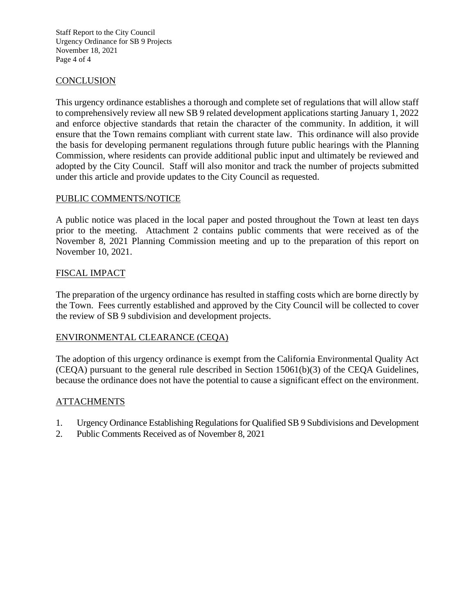Staff Report to the City Council Urgency Ordinance for SB 9 Projects November 18, 2021 Page 4 of 4

# **CONCLUSION**

This urgency ordinance establishes a thorough and complete set of regulations that will allow staff to comprehensively review all new SB 9 related development applications starting January 1, 2022 and enforce objective standards that retain the character of the community. In addition, it will ensure that the Town remains compliant with current state law. This ordinance will also provide the basis for developing permanent regulations through future public hearings with the Planning Commission, where residents can provide additional public input and ultimately be reviewed and adopted by the City Council. Staff will also monitor and track the number of projects submitted under this article and provide updates to the City Council as requested.

# PUBLIC COMMENTS/NOTICE

A public notice was placed in the local paper and posted throughout the Town at least ten days prior to the meeting. Attachment 2 contains public comments that were received as of the November 8, 2021 Planning Commission meeting and up to the preparation of this report on November 10, 2021.

# FISCAL IMPACT

The preparation of the urgency ordinance has resulted in staffing costs which are borne directly by the Town. Fees currently established and approved by the City Council will be collected to cover the review of SB 9 subdivision and development projects.

### ENVIRONMENTAL CLEARANCE (CEQA)

The adoption of this urgency ordinance is exempt from the California Environmental Quality Act (CEQA) pursuant to the general rule described in Section 15061(b)(3) of the CEQA Guidelines, because the ordinance does not have the potential to cause a significant effect on the environment.

### ATTACHMENTS

- 1. Urgency Ordinance Establishing Regulations for Qualified SB 9 Subdivisions and Development
- 2. Public Comments Received as of November 8, 2021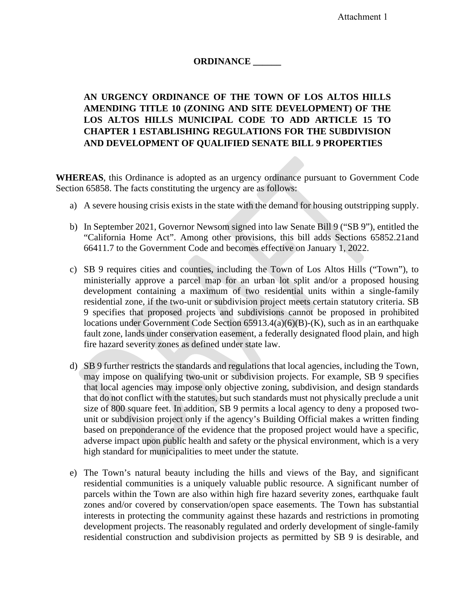Attachment 1

# **ORDINANCE \_\_\_\_\_\_**

# **AN URGENCY ORDINANCE OF THE TOWN OF LOS ALTOS HILLS AMENDING TITLE 10 (ZONING AND SITE DEVELOPMENT) OF THE LOS ALTOS HILLS MUNICIPAL CODE TO ADD ARTICLE 15 TO CHAPTER 1 ESTABLISHING REGULATIONS FOR THE SUBDIVISION AND DEVELOPMENT OF QUALIFIED SENATE BILL 9 PROPERTIES**

**WHEREAS**, this Ordinance is adopted as an urgency ordinance pursuant to Government Code Section 65858. The facts constituting the urgency are as follows:

- a) A severe housing crisis exists in the state with the demand for housing outstripping supply.
- b) In September 2021, Governor Newsom signed into law Senate Bill 9 ("SB 9"), entitled the "California Home Act". Among other provisions, this bill adds Sections 65852.21and 66411.7 to the Government Code and becomes effective on January 1, 2022.
- c) SB 9 requires cities and counties, including the Town of Los Altos Hills ("Town"), to ministerially approve a parcel map for an urban lot split and/or a proposed housing development containing a maximum of two residential units within a single-family residential zone, if the two-unit or subdivision project meets certain statutory criteria. SB 9 specifies that proposed projects and subdivisions cannot be proposed in prohibited locations under Government Code Section 65913.4(a)(6)(B)-(K), such as in an earthquake fault zone, lands under conservation easement, a federally designated flood plain, and high fire hazard severity zones as defined under state law.
- d) SB 9 further restricts the standards and regulations that local agencies, including the Town, may impose on qualifying two-unit or subdivision projects. For example, SB 9 specifies that local agencies may impose only objective zoning, subdivision, and design standards that do not conflict with the statutes, but such standards must not physically preclude a unit size of 800 square feet. In addition, SB 9 permits a local agency to deny a proposed twounit or subdivision project only if the agency's Building Official makes a written finding based on preponderance of the evidence that the proposed project would have a specific, adverse impact upon public health and safety or the physical environment, which is a very high standard for municipalities to meet under the statute.
- e) The Town's natural beauty including the hills and views of the Bay, and significant residential communities is a uniquely valuable public resource. A significant number of parcels within the Town are also within high fire hazard severity zones, earthquake fault zones and/or covered by conservation/open space easements. The Town has substantial interests in protecting the community against these hazards and restrictions in promoting development projects. The reasonably regulated and orderly development of single-family residential construction and subdivision projects as permitted by SB 9 is desirable, and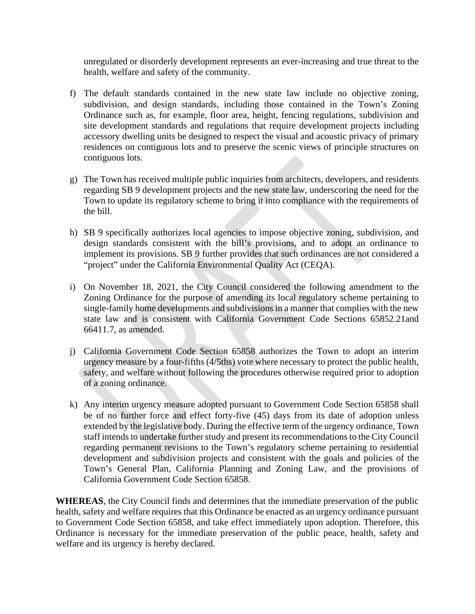unregulated or disorderly development represents an ever-increasing and true threat to the health, welfare and safety of the community.

- f) The default standards contained in the new state law include no objective zoning, subdivision, and design standards, including those contained in the Town's Zoning Ordinance such as, for example, floor area, height, fencing regulations, subdivision and site development standards and regulations that require development projects including accessory dwelling units be designed to respect the visual and acoustic privacy of primary residences on contiguous lots and to preserve the scenic views of principle structures on contiguous lots.
- g) The Town has received multiple public inquiries from architects, developers, and residents regarding SB 9 development projects and the new state law, underscoring the need for the Town to update its regulatory scheme to bring it into compliance with the requirements of the bill.
- h) SB 9 specifically authorizes local agencies to impose objective zoning, subdivision, and design standards consistent with the bill's provisions, and to adopt an ordinance to implement its provisions. SB 9 further provides that such ordinances are not considered a "project" under the California Environmental Quality Act (CEQA).
- i) On November 18, 2021, the City Council considered the following amendment to the Zoning Ordinance for the purpose of amending its local regulatory scheme pertaining to single-family home developments and subdivisions in a manner that complies with the new state law and is consistent with California Government Code Sections 65852.21and 66411.7, as amended.
- j) California Government Code Section 65858 authorizes the Town to adopt an interim urgency measure by a four-fifths (4/5ths) vote where necessary to protect the public health, safety, and welfare without following the procedures otherwise required prior to adoption of a zoning ordinance.
- k) Any interim urgency measure adopted pursuant to Government Code Section 65858 shall be of no further force and effect forty-five (45) days from its date of adoption unless extended by the legislative body. During the effective term of the urgency ordinance, Town staff intends to undertake further study and present its recommendations to the City Council regarding permanent revisions to the Town's regulatory scheme pertaining to residential development and subdivision projects and consistent with the goals and policies of the Town's General Plan, California Planning and Zoning Law, and the provisions of California Government Code Section 65858.

**WHEREAS**, the City Council finds and determines that the immediate preservation of the public health, safety and welfare requires that this Ordinance be enacted as an urgency ordinance pursuant to Government Code Section 65858, and take effect immediately upon adoption. Therefore, this Ordinance is necessary for the immediate preservation of the public peace, health, safety and welfare and its urgency is hereby declared.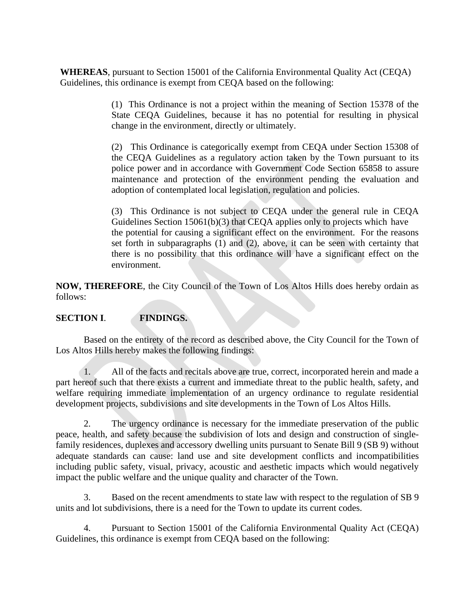**WHEREAS**, pursuant to Section 15001 of the California Environmental Quality Act (CEQA) Guidelines, this ordinance is exempt from CEQA based on the following:

> (1) This Ordinance is not a project within the meaning of Section 15378 of the State CEQA Guidelines, because it has no potential for resulting in physical change in the environment, directly or ultimately.

> (2) This Ordinance is categorically exempt from CEQA under Section 15308 of the CEQA Guidelines as a regulatory action taken by the Town pursuant to its police power and in accordance with Government Code Section 65858 to assure maintenance and protection of the environment pending the evaluation and adoption of contemplated local legislation, regulation and policies.

> (3) This Ordinance is not subject to CEQA under the general rule in CEQA Guidelines Section 15061(b)(3) that CEQA applies only to projects which have the potential for causing a significant effect on the environment. For the reasons set forth in subparagraphs (1) and (2), above, it can be seen with certainty that there is no possibility that this ordinance will have a significant effect on the environment.

**NOW, THEREFORE**, the City Council of the Town of Los Altos Hills does hereby ordain as follows:

# **SECTION I**. **FINDINGS.**

Based on the entirety of the record as described above, the City Council for the Town of Los Altos Hills hereby makes the following findings:

1. All of the facts and recitals above are true, correct, incorporated herein and made a part hereof such that there exists a current and immediate threat to the public health, safety, and welfare requiring immediate implementation of an urgency ordinance to regulate residential development projects, subdivisions and site developments in the Town of Los Altos Hills.

2. The urgency ordinance is necessary for the immediate preservation of the public peace, health, and safety because the subdivision of lots and design and construction of singlefamily residences, duplexes and accessory dwelling units pursuant to Senate Bill 9 (SB 9) without adequate standards can cause: land use and site development conflicts and incompatibilities including public safety, visual, privacy, acoustic and aesthetic impacts which would negatively impact the public welfare and the unique quality and character of the Town.

3. Based on the recent amendments to state law with respect to the regulation of SB 9 units and lot subdivisions, there is a need for the Town to update its current codes.

4. Pursuant to Section 15001 of the California Environmental Quality Act (CEQA) Guidelines, this ordinance is exempt from CEQA based on the following: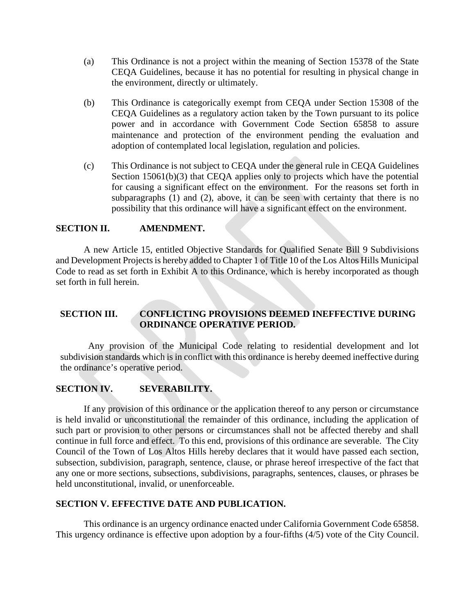- (a) This Ordinance is not a project within the meaning of Section 15378 of the State CEQA Guidelines, because it has no potential for resulting in physical change in the environment, directly or ultimately.
- (b) This Ordinance is categorically exempt from CEQA under Section 15308 of the CEQA Guidelines as a regulatory action taken by the Town pursuant to its police power and in accordance with Government Code Section 65858 to assure maintenance and protection of the environment pending the evaluation and adoption of contemplated local legislation, regulation and policies.
- (c) This Ordinance is not subject to CEQA under the general rule in CEQA Guidelines Section 15061(b)(3) that CEQA applies only to projects which have the potential for causing a significant effect on the environment. For the reasons set forth in subparagraphs (1) and (2), above, it can be seen with certainty that there is no possibility that this ordinance will have a significant effect on the environment.

#### **SECTION II. AMENDMENT.**

A new Article 15, entitled Objective Standards for Qualified Senate Bill 9 Subdivisions and Development Projectsis hereby added to Chapter 1 of Title 10 of the Los Altos Hills Municipal Code to read as set forth in Exhibit A to this Ordinance, which is hereby incorporated as though set forth in full herein.

# **SECTION III. CONFLICTING PROVISIONS DEEMED INEFFECTIVE DURING ORDINANCE OPERATIVE PERIOD.**

Any provision of the Municipal Code relating to residential development and lot subdivision standards which is in conflict with this ordinance is hereby deemed ineffective during the ordinance's operative period.

### **SECTION IV. SEVERABILITY.**

If any provision of this ordinance or the application thereof to any person or circumstance is held invalid or unconstitutional the remainder of this ordinance, including the application of such part or provision to other persons or circumstances shall not be affected thereby and shall continue in full force and effect. To this end, provisions of this ordinance are severable. The City Council of the Town of Los Altos Hills hereby declares that it would have passed each section, subsection, subdivision, paragraph, sentence, clause, or phrase hereof irrespective of the fact that any one or more sections, subsections, subdivisions, paragraphs, sentences, clauses, or phrases be held unconstitutional, invalid, or unenforceable.

#### **SECTION V. EFFECTIVE DATE AND PUBLICATION.**

This ordinance is an urgency ordinance enacted under California Government Code 65858. This urgency ordinance is effective upon adoption by a four-fifths (4/5) vote of the City Council.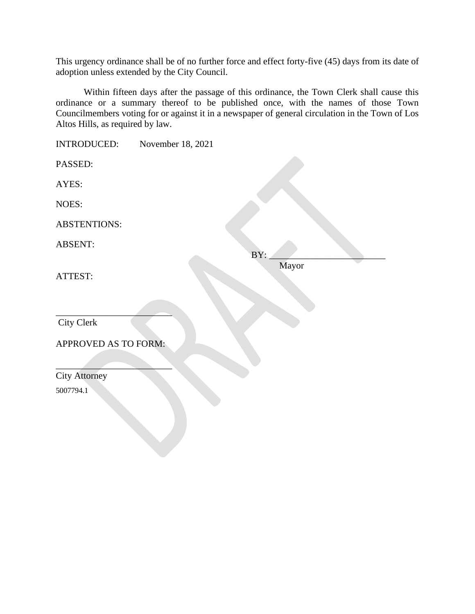This urgency ordinance shall be of no further force and effect forty-five (45) days from its date of adoption unless extended by the City Council.

Within fifteen days after the passage of this ordinance, the Town Clerk shall cause this ordinance or a summary thereof to be published once, with the names of those Town Councilmembers voting for or against it in a newspaper of general circulation in the Town of Los Altos Hills, as required by law.

| <b>INTRODUCED:</b>   | November 18, 2021 |       |  |
|----------------------|-------------------|-------|--|
| PASSED:              |                   |       |  |
| AYES:                |                   |       |  |
| NOES:                |                   |       |  |
| <b>ABSTENTIONS:</b>  |                   |       |  |
| <b>ABSENT:</b>       |                   | BY:   |  |
| ATTEST:              |                   | Mayor |  |
| City Clerk           |                   |       |  |
| APPROVED AS TO FORM: |                   |       |  |
| <b>City Attorney</b> |                   |       |  |
| 5007794.1            |                   |       |  |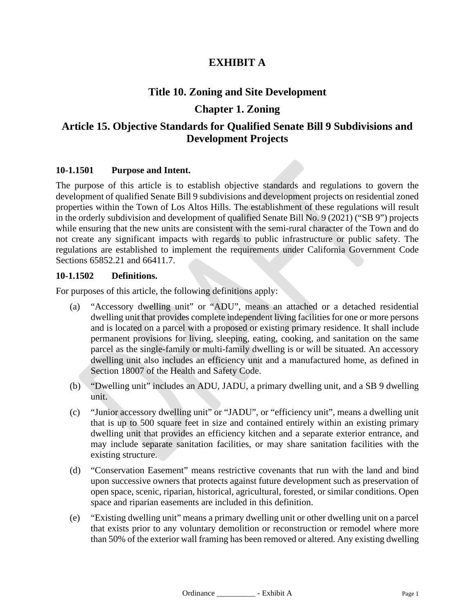# **EXHIBIT A**

# **Title 10. Zoning and Site Development**

# **Chapter 1. Zoning**

# **Article 15. Objective Standards for Qualified Senate Bill 9 Subdivisions and Development Projects**

### **10-1.1501 [Purpose and Intent.](http://qcode.us/codes/sunnyvale/view.php?topic=19-5-19_76-19_76_010&frames=on)**

The purpose of this article is to establish objective standards and regulations to govern the development of qualified Senate Bill 9 subdivisions and development projects on residential zoned properties within the Town of Los Altos Hills. The establishment of these regulations will result in the orderly subdivision and development of qualified Senate Bill No. 9 (2021) ("SB 9") projects while ensuring that the new units are consistent with the semi-rural character of the Town and do not create any significant impacts with regards to public infrastructure or public safety. The regulations are established to implement the requirements under California Government Code Sections 65852.21 and 66411.7.

### **10-1.1502 Definitions.**

For purposes of this article, the following definitions apply:

- (a) "Accessory dwelling unit" or "ADU", means an attached or a detached residential dwelling unit that provides complete independent living facilities for one or more persons and is located on a parcel with a proposed or existing primary residence. It shall include permanent provisions for living, sleeping, eating, cooking, and sanitation on the same parcel as the single-family or multi-family dwelling is or will be situated. An accessory dwelling unit also includes an efficiency unit and a manufactured home, as defined in Section 18007 of the Health and Safety Code.
- (b) "Dwelling unit" includes an ADU, JADU, a primary dwelling unit, and a SB 9 dwelling unit.
- (c) "Junior accessory dwelling unit" or "JADU", or "efficiency unit", means a dwelling unit that is up to 500 square feet in size and contained entirely within an existing primary dwelling unit that provides an efficiency kitchen and a separate exterior entrance, and may include separate sanitation facilities, or may share sanitation facilities with the existing structure.
- (d) "Conservation Easement" means restrictive covenants that run with the land and bind upon successive owners that protects against future development such as preservation of open space, scenic, riparian, historical, agricultural, forested, or similar conditions. Open space and riparian easements are included in this definition.
- (e) "Existing dwelling unit" means a primary dwelling unit or other dwelling unit on a parcel that exists prior to any voluntary demolition or reconstruction or remodel where more than 50% of the exterior wall framing has been removed or altered. Any existing dwelling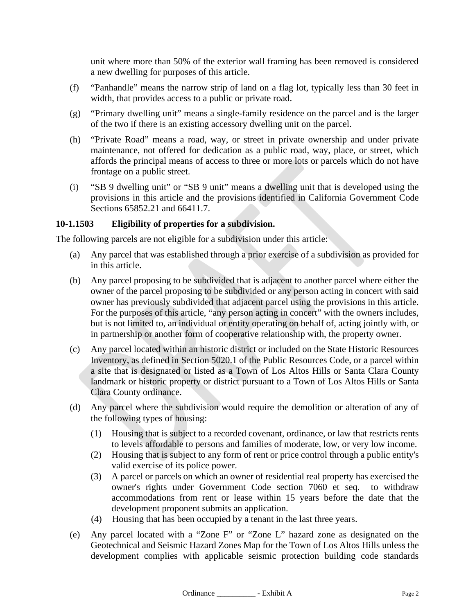unit where more than 50% of the exterior wall framing has been removed is considered a new dwelling for purposes of this article.

- (f) "Panhandle" means the narrow strip of land on a flag lot, typically less than 30 feet in width, that provides access to a public or private road.
- (g) "Primary dwelling unit" means a single-family residence on the parcel and is the larger of the two if there is an existing accessory dwelling unit on the parcel.
- (h) "Private Road" means a road, way, or street in private ownership and under private maintenance, not offered for dedication as a public road, way, place, or street, which affords the principal means of access to three or more lots or parcels which do not have frontage on a public street.
- (i) "SB 9 dwelling unit" or "SB 9 unit" means a dwelling unit that is developed using the provisions in this article and the provisions identified in California Government Code Sections 65852.21 and 66411.7.

# **10-1.1503 Eligibility of properties for a subdivision.**

The following parcels are not eligible for a subdivision under this article:

- (a) Any parcel that was established through a prior exercise of a subdivision as provided for in this article.
- (b) Any parcel proposing to be subdivided that is adjacent to another parcel where either the owner of the parcel proposing to be subdivided or any person acting in concert with said owner has previously subdivided that adjacent parcel using the provisions in this article. For the purposes of this article, "any person acting in concert" with the owners includes, but is not limited to, an individual or entity operating on behalf of, acting jointly with, or in partnership or another form of cooperative relationship with, the property owner.
- (c) Any parcel located within an historic district or included on the State Historic Resources Inventory, as defined in Section 5020.1 of the Public Resources Code, or a parcel within a site that is designated or listed as a Town of Los Altos Hills or Santa Clara County landmark or historic property or district pursuant to a Town of Los Altos Hills or Santa Clara County ordinance.
- (d) Any parcel where the subdivision would require the demolition or alteration of any of the following types of housing:
	- (1) Housing that is subject to a recorded covenant, ordinance, or law that restricts rents to levels affordable to persons and families of moderate, low, or very low income.
	- (2) Housing that is subject to any form of rent or price control through a public entity's valid exercise of its police power.
	- (3) A parcel or parcels on which an owner of residential real property has exercised the owner's rights under Government Code section 7060 et seq. to withdraw accommodations from rent or lease within 15 years before the date that the development proponent submits an application.
	- (4) Housing that has been occupied by a tenant in the last three years.
- (e) Any parcel located with a "Zone F" or "Zone L" hazard zone as designated on the Geotechnical and Seismic Hazard Zones Map for the Town of Los Altos Hills unless the development complies with applicable seismic protection building code standards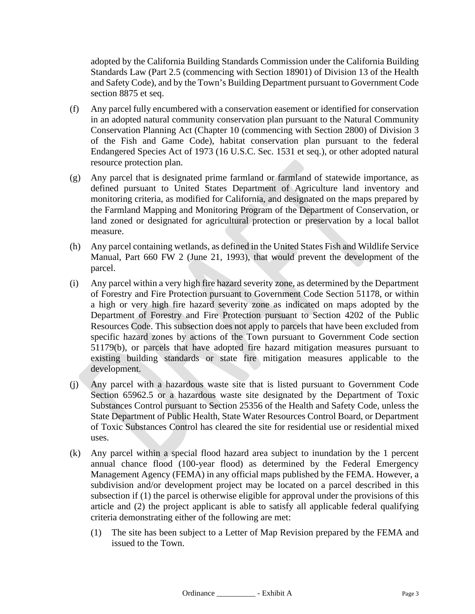adopted by the California Building Standards Commission under the California Building Standards Law (Part 2.5 (commencing with Section 18901) of Division 13 of the Health and Safety Code), and by the Town's Building Department pursuant to Government Code section 8875 et seq.

- (f) Any parcel fully encumbered with a conservation easement or identified for conservation in an adopted natural community conservation plan pursuant to the Natural Community Conservation Planning Act (Chapter 10 (commencing with Section 2800) of Division 3 of the Fish and Game Code), habitat conservation plan pursuant to the federal Endangered Species Act of 1973 (16 U.S.C. Sec. 1531 et seq.), or other adopted natural resource protection plan.
- (g) Any parcel that is designated prime farmland or farmland of statewide importance, as defined pursuant to United States Department of Agriculture land inventory and monitoring criteria, as modified for California, and designated on the maps prepared by the Farmland Mapping and Monitoring Program of the Department of Conservation, or land zoned or designated for agricultural protection or preservation by a local ballot measure.
- (h) Any parcel containing wetlands, as defined in the United States Fish and Wildlife Service Manual, Part 660 FW 2 (June 21, 1993), that would prevent the development of the parcel.
- (i) Any parcel within a very high fire hazard severity zone, as determined by the Department of Forestry and Fire Protection pursuant to Government Code Section 51178, or within a high or very high fire hazard severity zone as indicated on maps adopted by the Department of Forestry and Fire Protection pursuant to Section 4202 of the Public Resources Code. This subsection does not apply to parcels that have been excluded from specific hazard zones by actions of the Town pursuant to Government Code section 51179(b), or parcels that have adopted fire hazard mitigation measures pursuant to existing building standards or state fire mitigation measures applicable to the development.
- (j) Any parcel with a hazardous waste site that is listed pursuant to Government Code Section 65962.5 or a hazardous waste site designated by the Department of Toxic Substances Control pursuant to Section 25356 of the Health and Safety Code, unless the State Department of Public Health, State Water Resources Control Board, or Department of Toxic Substances Control has cleared the site for residential use or residential mixed uses.
- (k) Any parcel within a special flood hazard area subject to inundation by the 1 percent annual chance flood (100-year flood) as determined by the Federal Emergency Management Agency (FEMA) in any official maps published by the FEMA. However, a subdivision and/or development project may be located on a parcel described in this subsection if (1) the parcel is otherwise eligible for approval under the provisions of this article and (2) the project applicant is able to satisfy all applicable federal qualifying criteria demonstrating either of the following are met:
	- (1) The site has been subject to a Letter of Map Revision prepared by the FEMA and issued to the Town.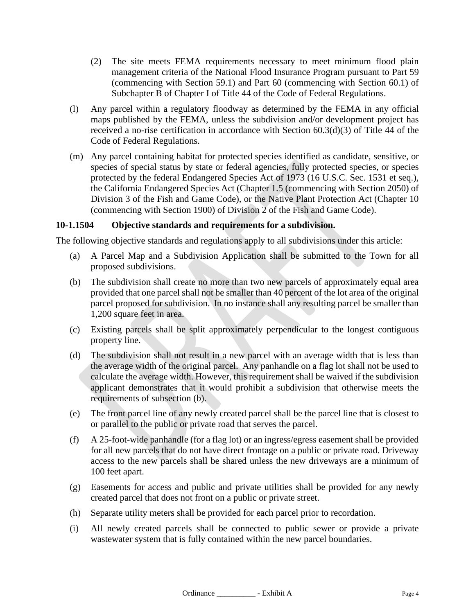- (2) The site meets FEMA requirements necessary to meet minimum flood plain management criteria of the National Flood Insurance Program pursuant to Part 59 (commencing with Section 59.1) and Part 60 (commencing with Section 60.1) of Subchapter B of Chapter I of Title 44 of the Code of Federal Regulations.
- (l) Any parcel within a regulatory floodway as determined by the FEMA in any official maps published by the FEMA, unless the subdivision and/or development project has received a no-rise certification in accordance with Section 60.3(d)(3) of Title 44 of the Code of Federal Regulations.
- (m) Any parcel containing habitat for protected species identified as candidate, sensitive, or species of special status by state or federal agencies, fully protected species, or species protected by the federal Endangered Species Act of 1973 (16 U.S.C. Sec. 1531 et seq.), the California Endangered Species Act (Chapter 1.5 (commencing with Section 2050) of Division 3 of the Fish and Game Code), or the Native Plant Protection Act (Chapter 10 (commencing with Section 1900) of Division 2 of the Fish and Game Code).

# **10-1.1504 Objective standards and requirements for a subdivision.**

The following objective standards and regulations apply to all subdivisions under this article:

- (a) A Parcel Map and a Subdivision Application shall be submitted to the Town for all proposed subdivisions.
- (b) The subdivision shall create no more than two new parcels of approximately equal area provided that one parcel shall not be smaller than 40 percent of the lot area of the original parcel proposed for subdivision. In no instance shall any resulting parcel be smaller than 1,200 square feet in area.
- (c) Existing parcels shall be split approximately perpendicular to the longest contiguous property line.
- (d) The subdivision shall not result in a new parcel with an average width that is less than the average width of the original parcel. Any panhandle on a flag lot shall not be used to calculate the average width. However, this requirement shall be waived if the subdivision applicant demonstrates that it would prohibit a subdivision that otherwise meets the requirements of subsection (b).
- (e) The front parcel line of any newly created parcel shall be the parcel line that is closest to or parallel to the public or private road that serves the parcel.
- (f) A 25-foot-wide panhandle (for a flag lot) or an ingress/egress easement shall be provided for all new parcels that do not have direct frontage on a public or private road. Driveway access to the new parcels shall be shared unless the new driveways are a minimum of 100 feet apart.
- (g) Easements for access and public and private utilities shall be provided for any newly created parcel that does not front on a public or private street.
- (h) Separate utility meters shall be provided for each parcel prior to recordation.
- (i) All newly created parcels shall be connected to public sewer or provide a private wastewater system that is fully contained within the new parcel boundaries.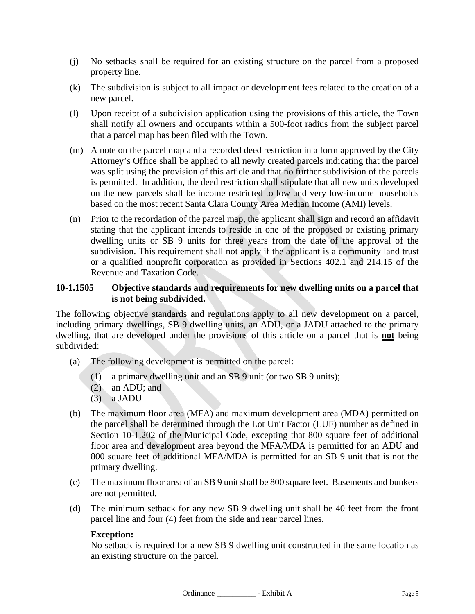- (j) No setbacks shall be required for an existing structure on the parcel from a proposed property line.
- (k) The subdivision is subject to all impact or development fees related to the creation of a new parcel.
- (l) Upon receipt of a subdivision application using the provisions of this article, the Town shall notify all owners and occupants within a 500-foot radius from the subject parcel that a parcel map has been filed with the Town.
- (m) A note on the parcel map and a recorded deed restriction in a form approved by the City Attorney's Office shall be applied to all newly created parcels indicating that the parcel was split using the provision of this article and that no further subdivision of the parcels is permitted. In addition, the deed restriction shall stipulate that all new units developed on the new parcels shall be income restricted to low and very low-income households based on the most recent Santa Clara County Area Median Income (AMI) levels.
- (n) Prior to the recordation of the parcel map, the applicant shall sign and record an affidavit stating that the applicant intends to reside in one of the proposed or existing primary dwelling units or SB 9 units for three years from the date of the approval of the subdivision. This requirement shall not apply if the applicant is a community land trust or a qualified nonprofit corporation as provided in Sections 402.1 and 214.15 of the Revenue and Taxation Code.

# **10-1.1505 Objective standards and requirements for new dwelling units on a parcel that is not being subdivided.**

The following objective standards and regulations apply to all new development on a parcel, including primary dwellings, SB 9 dwelling units, an ADU, or a JADU attached to the primary dwelling, that are developed under the provisions of this article on a parcel that is **not** being subdivided:

- (a) The following development is permitted on the parcel:
	- (1) a primary dwelling unit and an SB 9 unit (or two SB 9 units);
	- (2) an ADU; and
	- (3) a JADU
- (b) The maximum floor area (MFA) and maximum development area (MDA) permitted on the parcel shall be determined through the Lot Unit Factor (LUF) number as defined in Section 10-1.202 of the Municipal Code, excepting that 800 square feet of additional floor area and development area beyond the MFA/MDA is permitted for an ADU and 800 square feet of additional MFA/MDA is permitted for an SB 9 unit that is not the primary dwelling.
- (c) The maximum floor area of an SB 9 unit shall be 800 square feet. Basements and bunkers are not permitted.
- (d) The minimum setback for any new SB 9 dwelling unit shall be 40 feet from the front parcel line and four (4) feet from the side and rear parcel lines.

### **Exception:**

No setback is required for a new SB 9 dwelling unit constructed in the same location as an existing structure on the parcel.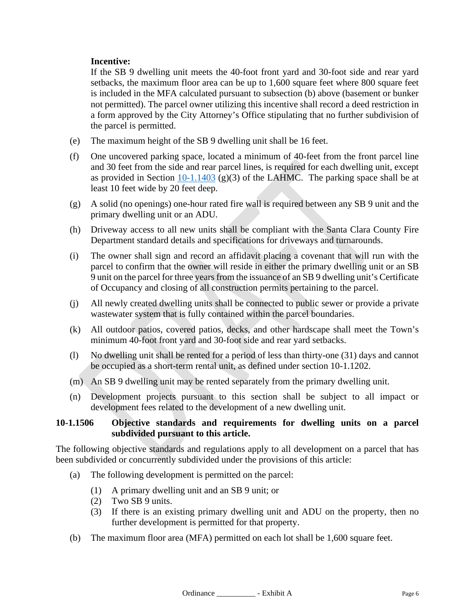# **Incentive:**

If the SB 9 dwelling unit meets the 40-foot front yard and 30-foot side and rear yard setbacks, the maximum floor area can be up to 1,600 square feet where 800 square feet is included in the MFA calculated pursuant to subsection (b) above (basement or bunker not permitted). The parcel owner utilizing this incentive shall record a deed restriction in a form approved by the City Attorney's Office stipulating that no further subdivision of the parcel is permitted.

- (e) The maximum height of the SB 9 dwelling unit shall be 16 feet.
- (f) One uncovered parking space, located a minimum of 40-feet from the front parcel line and 30 feet from the side and rear parcel lines, is required for each dwelling unit, except as provided in Section [10-1.1403](http://qcode.us/codes/losaltoshills/view.php?topic=10-1-14-10_1_1403&frames=on) (g)(3) of the LAHMC. The parking space shall be at least 10 feet wide by 20 feet deep.
- (g) A solid (no openings) one-hour rated fire wall is required between any SB 9 unit and the primary dwelling unit or an ADU.
- (h) Driveway access to all new units shall be compliant with the Santa Clara County Fire Department standard details and specifications for driveways and turnarounds.
- (i) The owner shall sign and record an affidavit placing a covenant that will run with the parcel to confirm that the owner will reside in either the primary dwelling unit or an SB 9 unit on the parcel for three years from the issuance of an SB 9 dwelling unit's Certificate of Occupancy and closing of all construction permits pertaining to the parcel.
- (j) All newly created dwelling units shall be connected to public sewer or provide a private wastewater system that is fully contained within the parcel boundaries.
- (k) All outdoor patios, covered patios, decks, and other hardscape shall meet the Town's minimum 40-foot front yard and 30-foot side and rear yard setbacks.
- (l) No dwelling unit shall be rented for a period of less than thirty-one (31) days and cannot be occupied as a short-term rental unit, as defined under section 10-1.1202.
- (m) An SB 9 dwelling unit may be rented separately from the primary dwelling unit.
- (n) Development projects pursuant to this section shall be subject to all impact or development fees related to the development of a new dwelling unit.

# **10-1.1506 Objective standards and requirements for dwelling units on a parcel subdivided pursuant to this article.**

The following objective standards and regulations apply to all development on a parcel that has been subdivided or concurrently subdivided under the provisions of this article:

- (a) The following development is permitted on the parcel:
	- (1) A primary dwelling unit and an SB 9 unit; or
	- (2) Two SB 9 units.
	- (3) If there is an existing primary dwelling unit and ADU on the property, then no further development is permitted for that property.
- (b) The maximum floor area (MFA) permitted on each lot shall be 1,600 square feet.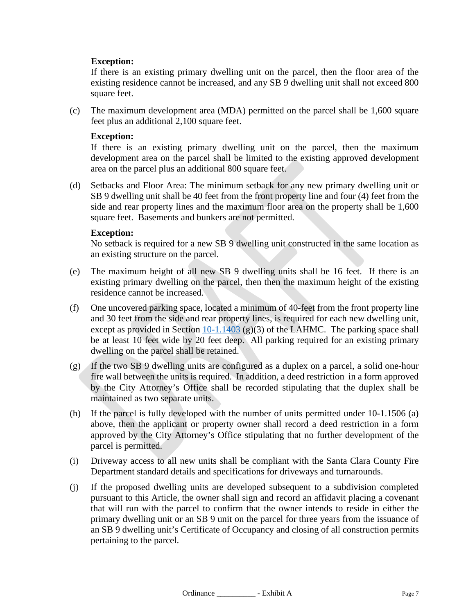# **Exception:**

If there is an existing primary dwelling unit on the parcel, then the floor area of the existing residence cannot be increased, and any SB 9 dwelling unit shall not exceed 800 square feet.

(c) The maximum development area (MDA) permitted on the parcel shall be 1,600 square feet plus an additional 2,100 square feet.

### **Exception:**

If there is an existing primary dwelling unit on the parcel, then the maximum development area on the parcel shall be limited to the existing approved development area on the parcel plus an additional 800 square feet.

(d) Setbacks and Floor Area: The minimum setback for any new primary dwelling unit or SB 9 dwelling unit shall be 40 feet from the front property line and four (4) feet from the side and rear property lines and the maximum floor area on the property shall be 1,600 square feet. Basements and bunkers are not permitted.

### **Exception:**

No setback is required for a new SB 9 dwelling unit constructed in the same location as an existing structure on the parcel.

- (e) The maximum height of all new SB 9 dwelling units shall be 16 feet. If there is an existing primary dwelling on the parcel, then then the maximum height of the existing residence cannot be increased.
- (f) One uncovered parking space, located a minimum of 40-feet from the front property line and 30 feet from the side and rear property lines, is required for each new dwelling unit, except as provided in Section  $10-1.1403$  (g)(3) of the LAHMC. The parking space shall be at least 10 feet wide by 20 feet deep. All parking required for an existing primary dwelling on the parcel shall be retained.
- (g) If the two SB 9 dwelling units are configured as a duplex on a parcel, a solid one-hour fire wall between the units is required. In addition, a deed restriction in a form approved by the City Attorney's Office shall be recorded stipulating that the duplex shall be maintained as two separate units.
- (h) If the parcel is fully developed with the number of units permitted under 10-1.1506 (a) above, then the applicant or property owner shall record a deed restriction in a form approved by the City Attorney's Office stipulating that no further development of the parcel is permitted.
- (i) Driveway access to all new units shall be compliant with the Santa Clara County Fire Department standard details and specifications for driveways and turnarounds.
- (j) If the proposed dwelling units are developed subsequent to a subdivision completed pursuant to this Article, the owner shall sign and record an affidavit placing a covenant that will run with the parcel to confirm that the owner intends to reside in either the primary dwelling unit or an SB 9 unit on the parcel for three years from the issuance of an SB 9 dwelling unit's Certificate of Occupancy and closing of all construction permits pertaining to the parcel.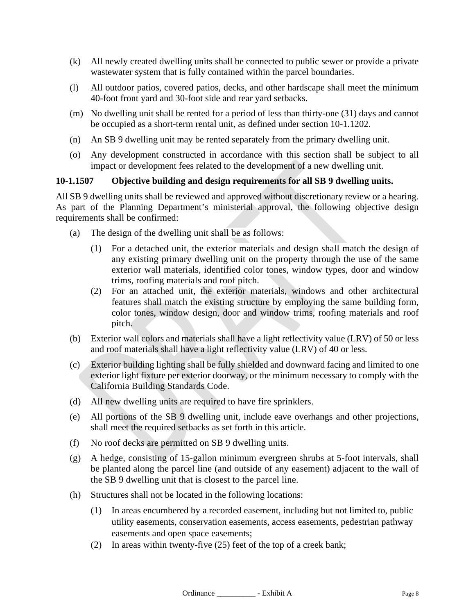- (k) All newly created dwelling units shall be connected to public sewer or provide a private wastewater system that is fully contained within the parcel boundaries.
- (l) All outdoor patios, covered patios, decks, and other hardscape shall meet the minimum 40-foot front yard and 30-foot side and rear yard setbacks.
- (m) No dwelling unit shall be rented for a period of less than thirty-one (31) days and cannot be occupied as a short-term rental unit, as defined under section 10-1.1202.
- (n) An SB 9 dwelling unit may be rented separately from the primary dwelling unit.
- (o) Any development constructed in accordance with this section shall be subject to all impact or development fees related to the development of a new dwelling unit.

# **10-1.1507 Objective building and design requirements for all SB 9 dwelling units.**

All SB 9 dwelling units shall be reviewed and approved without discretionary review or a hearing. As part of the Planning Department's ministerial approval, the following objective design requirements shall be confirmed:

- (a) The design of the dwelling unit shall be as follows:
	- (1) For a detached unit, the exterior materials and design shall match the design of any existing primary dwelling unit on the property through the use of the same exterior wall materials, identified color tones, window types, door and window trims, roofing materials and roof pitch.
	- (2) For an attached unit, the exterior materials, windows and other architectural features shall match the existing structure by employing the same building form, color tones, window design, door and window trims, roofing materials and roof pitch.
- (b) Exterior wall colors and materials shall have a light reflectivity value (LRV) of 50 or less and roof materials shall have a light reflectivity value (LRV) of 40 or less.
- (c) Exterior building lighting shall be fully shielded and downward facing and limited to one exterior light fixture per exterior doorway, or the minimum necessary to comply with the California Building Standards Code.
- (d) All new dwelling units are required to have fire sprinklers.
- (e) All portions of the SB 9 dwelling unit, include eave overhangs and other projections, shall meet the required setbacks as set forth in this article.
- (f) No roof decks are permitted on SB 9 dwelling units.
- (g) A hedge, consisting of 15-gallon minimum evergreen shrubs at 5-foot intervals, shall be planted along the parcel line (and outside of any easement) adjacent to the wall of the SB 9 dwelling unit that is closest to the parcel line.
- (h) Structures shall not be located in the following locations:
	- (1) In areas encumbered by a recorded easement, including but not limited to, public utility easements, conservation easements, access easements, pedestrian pathway easements and open space easements;
	- (2) In areas within twenty-five (25) feet of the top of a creek bank;